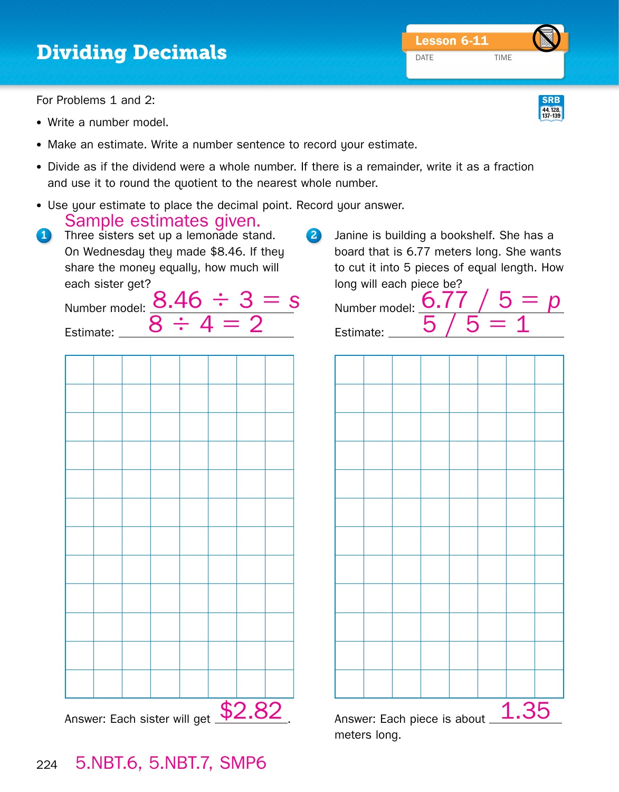## **Dividing Decimals** December 2008 **DATE**

For Problems 1 and 2:

- Write a number model.
- Make an estimate. Write a number sentence to record your estimate.
- Divide as if the dividend were a whole number. If there is a remainder, write it as a fraction and use it to round the quotient to the nearest whole number.
- Use your estimate to place the decimal point. Record your answer. Sample estimates given.
- 1 Three sisters set up a lemonade stand. On Wednesday they made \$8.46. If they share the money equally, how much will each sister get?

Estimate:

- Number model: 8.46 ÷ 3 = *s*
- 2 Janine is building a bookshelf. She has a board that is 6.77 meters long. She wants to cut it into 5 pieces of equal length. How long will each piece be?

Number model: **D.** Estimate:  $\_$ 



Answer: Each sister will get **\$2.82**